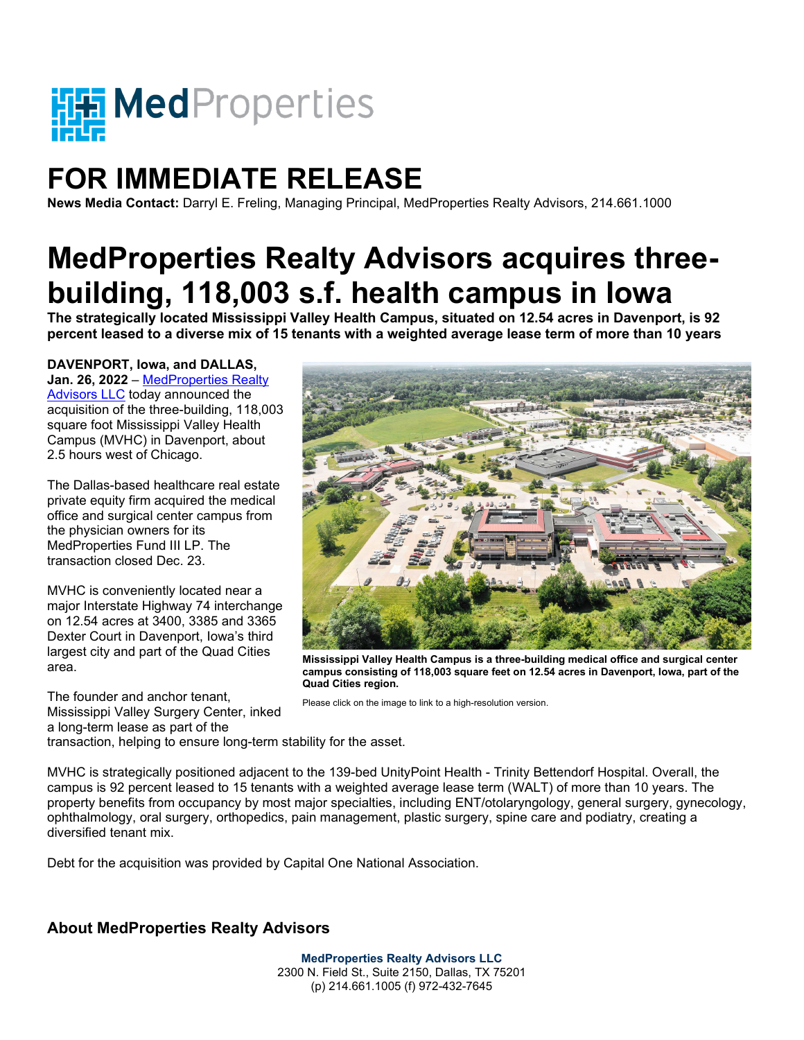

## **FOR IMMEDIATE RELEASE**

**News Media Contact:** Darryl E. Freling, Managing Principal, MedProperties Realty Advisors, 214.661.1000

## **MedProperties Realty Advisors acquires threebuilding, 118,003 s.f. health campus in Iowa The strategically located Mississippi Valley Health Campus, situated on 12.54 acres in Davenport, is 92**

**percent leased to a diverse mix of 15 tenants with a weighted average lease term of more than 10 years**

## **DAVENPORT, Iowa, and DALLAS,**

**Jan. 26, 2022** – [MedProperties Realty](http://medpropertieslp.com/)  [Advisors](http://medpropertieslp.com/) LLC today announced the acquisition of the three-building, 118,003 square foot Mississippi Valley Health Campus (MVHC) in Davenport, about 2.5 hours west of Chicago.

The Dallas-based healthcare real estate private equity firm acquired the medical office and surgical center campus from the physician owners for its MedProperties Fund III LP. The transaction closed Dec. 23.

MVHC is conveniently located near a major Interstate Highway 74 interchange on 12.54 acres at 3400, 3385 and 3365 Dexter Court in Davenport, Iowa's third largest city and part of the Quad Cities area.

The founder and anchor tenant, Mississippi Valley Surgery Center, inked a long-term lease as part of the



**Mississippi Valley Health Campus is a three-building medical office and surgical center campus consisting of 118,003 square feet on 12.54 acres in Davenport, Iowa, part of the Quad Cities region.**

Please click on the image to link to a high-resolution version.

transaction, helping to ensure long-term stability for the asset.

MVHC is strategically positioned adjacent to the 139-bed UnityPoint Health - Trinity Bettendorf Hospital. Overall, the campus is 92 percent leased to 15 tenants with a weighted average lease term (WALT) of more than 10 years. The property benefits from occupancy by most major specialties, including ENT/otolaryngology, general surgery, gynecology, ophthalmology, oral surgery, orthopedics, pain management, plastic surgery, spine care and podiatry, creating a diversified tenant mix.

Debt for the acquisition was provided by Capital One National Association.

## **About MedProperties Realty Advisors**